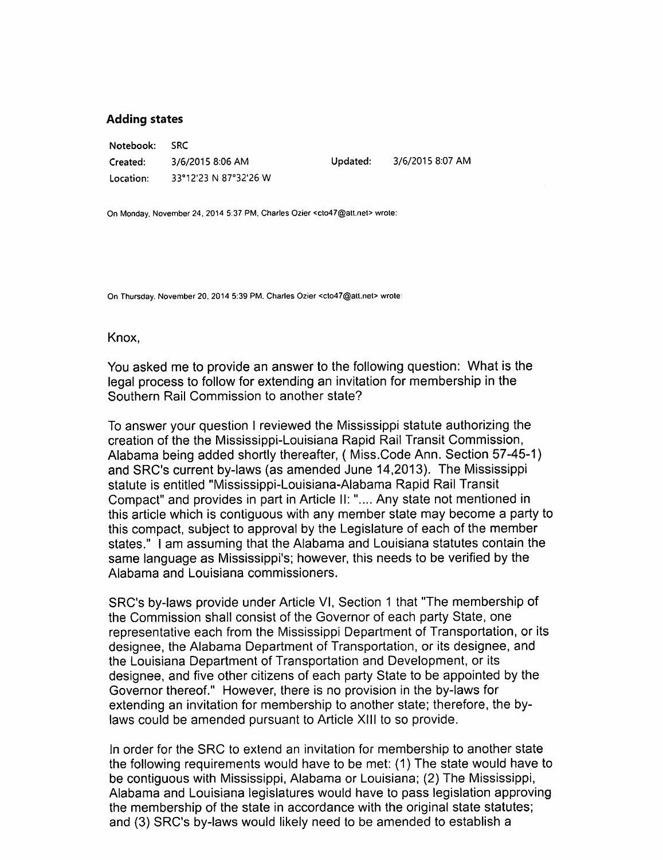#### Adding states

Notebook: SRC Created: 3/6/2015 8:06 AM Location: 33°12'23 N 87°32'26 W

Updated: 3/6/2015 8:07 AM

On Monday, November 24, 2014 5:37 PM, Charles Ozier <clo47@att.net> wrote:

On Thursday. November 20. 2014 5:39 PM. Charles Ozier <cto47@atl.nel> wrote:

Knox,

You asked me to provide an answer to the following question: What is the legal process to follow for extending an invitation for membership in the Southern Rail Commission to another state?

To answer your question I reviewed the Mississippi statute authorizing the creation of the the Mississippi-Louisiana Rapid Rail Transit Commission, Alabama being added shortly thereafter, ( Miss.Code Ann. Section 57-45-1) and SRC's current by-laws (as amended June 14,2013). The Mississippi statute is entitled "Mississippi-Louisiana-Alabama Rapid Rail Transit Compact" and provides in part in Article II:".... Any state not mentioned in this article which is contiguous with any member state may become a party to this compact, subject to approval by the Legislature of each of the member states." I am assuming that the Alabama and Louisiana statutes contain the same language as Mississippi's; however, this needs to be verified by the Alabama and Louisiana commissioners.

SRC's by-laws provide under Article VI, Section 1 that "The membership of the Commission shall consist of the Governor of each party State, one representative each from the Mississippi Department of Transportation, or its designee, the Alabama Department of Transportation, or its designee, and the Louisiana Department of Transportation and Development, or its designee, and five other citizens of each party State to be appointed by the Governor thereof." However, there is no provision in the by-laws for extending an invitation for membership to another state; therefore, the by laws could be amended pursuant to Article XIII to so provide.

In order for the SRC to extend an invitation for membership to another state the following requirements would have to be met: (1) The state would have to be contiguous with Mississippi, Alabama or Louisiana; (2) The Mississippi, Alabama and Louisiana legislatures would have to pass legislation approving the membership of the state in accordance with the original state statutes; and (3) SRC's by-laws would likely need to be amended to establish a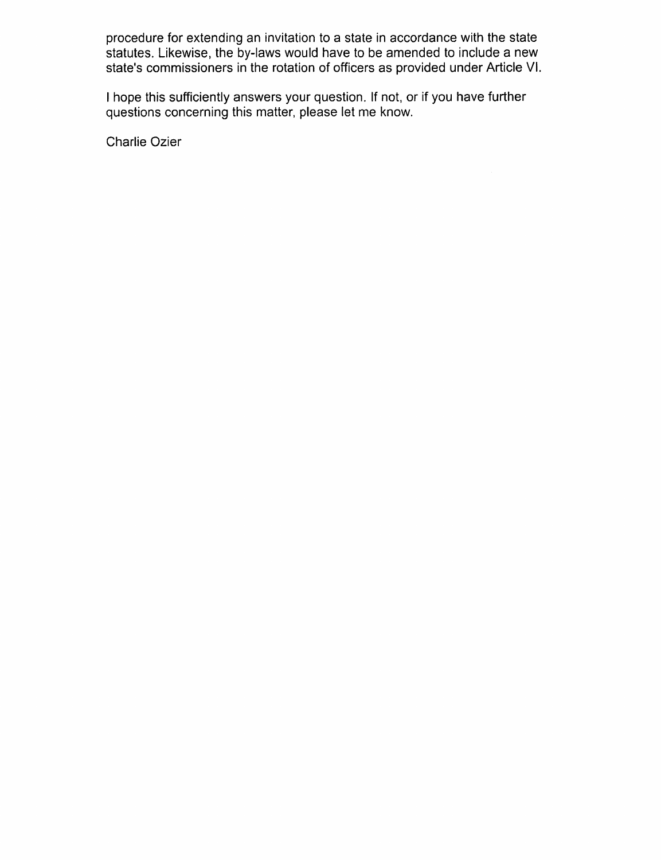procedure for extending an invitation to a state in accordance with the state statutes. Likewise, the by-laws would have to be amended to include a new state's commissioners in the rotation of officers as provided under Article VI.

I hope this sufficiently answers your question. If not, or if you have further questions concerning this matter, please let me know.

Charlie Ozier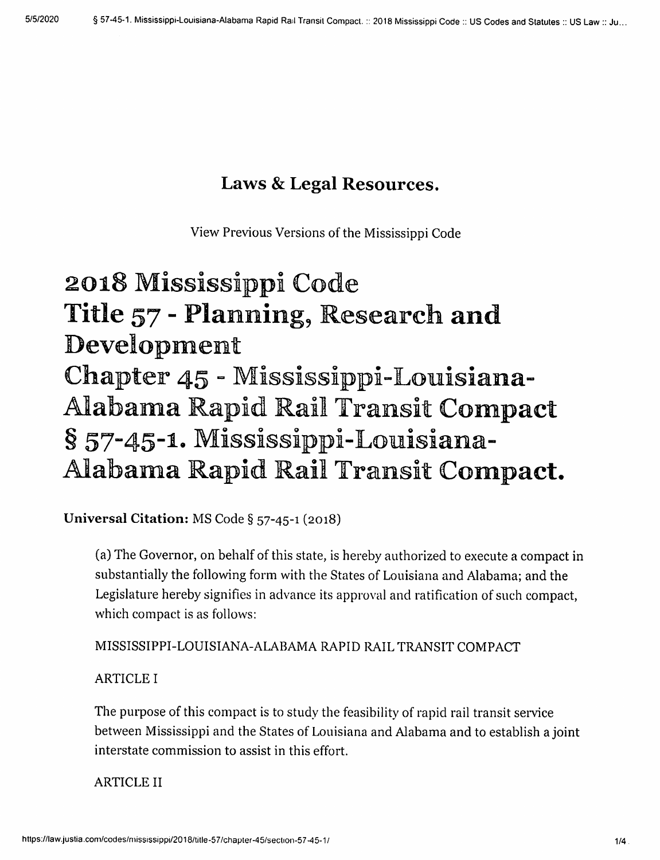# Laws & Legal Resources.

View Previous Versions of the Mississippi Code

# 2018 Mississippi Code Title 57 - Planning, Research and Development Chapter 45 - Mississippi-Louisiana-Alabama Rapid Rail Transit Compact § 57-45-1. Mississippi-Louisiana-Alahama Rapid Rail Transit Compact.

Universal Citation; MS Code § 57-45-1 (2018)

(a) The Governor, on behalf of this state, is hereby authorized to execute a compact in substantially the following form with the States of Louisiana and Alabama; and the Legislature hereby signifies in advance its approval and ratification of such compact, which compact is as follows:

MISSISSIPPI-LOUISIANA-ALABAMA RAPID RAIL TRANSIT COMPACT

#### ARTICLE I

The purpose of this compact is to study the feasibility of rapid rail transit service between Mississippi and the States of Louisiana and Alabama and to establish a joint interstate commission to assist in this effort.

#### ARTICLE II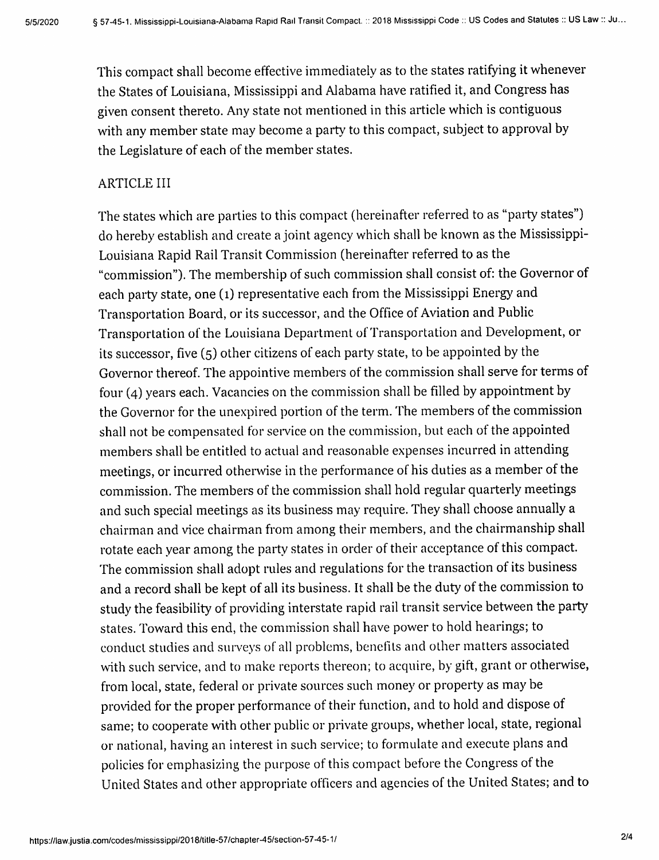This compact shall become effective immediately as to the states ratifying it whenever the States of Louisiana, Mississippi and Alabama have ratified it, and Congress has given consent thereto. Any state not mentioned in this article which is contiguous with any member state may become a party to this compact, subject to approval by the Legislature of each of the member states.

#### ARTICLE III

The states which are parties to this compact (hereinafter referred to as "party states") do hereby establish and create a joint agency which shall be known as the Mississippi-Louisiana Rapid Rail Transit Commission (hereinafter referred to as the "commission"). The membership of such commission shall consist of: the Governor of each party state, one (1) representative each from the Mississippi Energy and Transportation Board, or its successor, and the Office of Aviation and Public Transportation of the Louisiana Department of Transportation and Development, or its successor, five (5) other citizens of each party state, to be appointed by the Governor thereof. The appointive members of the commission shall serve for terms of four (4) years each. Vacancies on the commission shall be filled by appointment by the Governor for the unexpired portion of the term. The members of the commission shall not be compensated for service on the commission, but each of the appointed members shall be entitled to actual and reasonable expenses incurred in attending meetings, or incurred otherwise in the performance of his duties as a member of the commission. The members of the commission shall hold regular quarterly meetings and such special meetings as its business may require. They shall choose annually a chairman and vice chairman from among their members, and the chairmanship shall rotate each year among the party states in order of their acceptance of this compact. The commission shall adopt rules and regulations for the transaction of its business and a record shall be kept of all its business. It shall be the duty of the commission to study the feasibility of providing interstate rapid rail transit service between the party states. Toward this end, the commission shall have power to hold hearings; to conduct studies and surveys of all problems, benefits and other matters associated with such service, and to make reports thereon; to acquire, by gift, grant or otherwise, from local, state, federal or private sources such money or property as may be provided for the proper performance of their function, and to hold and dispose of same; to cooperate with other public or private groups, whether local, state, regional or national, having an interest in such service; to formulate and execute plans and policies for emphasizing the purpose of this compact before the Congress of the United States and other appropriate officers and agencies of the United States; and to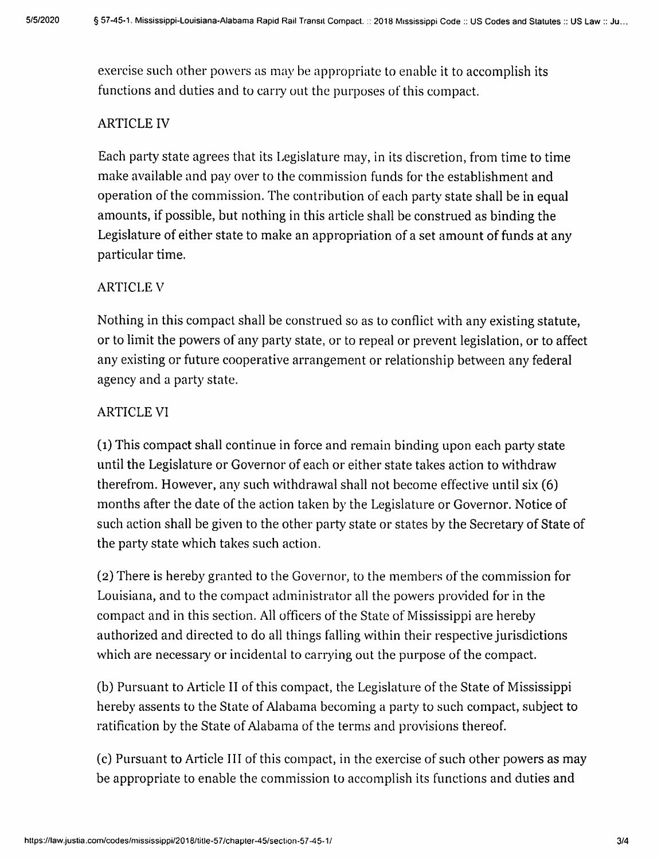exercise such other powers as may be appropriate to enable it to accomplish its functions and duties and to carry out the purposes of this compact.

## ARTICLE IV

Each party state agrees that its Legislature may, in its discretion, from time to time make available and pay over to the commission funds for the establishment and operation of the commission. The contribution of each party state shall be in equal amounts, if possible, but nothing in this article shall be construed as binding the Legislature of either state to make an appropriation of a set amount of funds at any particular time.

### ARTICLE V

Nothing in this compact shall be construed so as to conflict with any existing statute, or to limit the powers of any party state, or to repeal or prevent legislation, or to affect any existing or future cooperative arrangement or relationship between any federal agency and a party state.

### ARTICLE VI

(1) This compact shall continue in force and remain binding upon each party state until the Legislature or Governor of each or either state takes action to withdraw therefrom. However, any such withdrawal shall not become effective until six (6) months after the date of the action taken by the Legislature or Governor. Notice of such action shall be given to the other party state or states by the Secretary of State of the party state which takes such action.

(2) There is hereby granted to the Governor, to the members of the commission for Louisiana, and to the compact administrator all the powers provided for in the compact and in this section. All officers of the State of Mississippi are hereby authorized and directed to do all things falling within their respective jurisdictions which are necessary or incidental to carrying out the purpose of the compact.

(b) Pursuant to Article II of this compact, the Legislature of the State of Mississippi hereby assents to the State of Alabama becoming a party to such compact, subject to ratification by the State of Alabama of the terms and provisions thereof.

(c) Pursuant to Article III of this compact, in the exercise of such other powers as may be appropriate to enable the commission to accomplish its functions and duties and